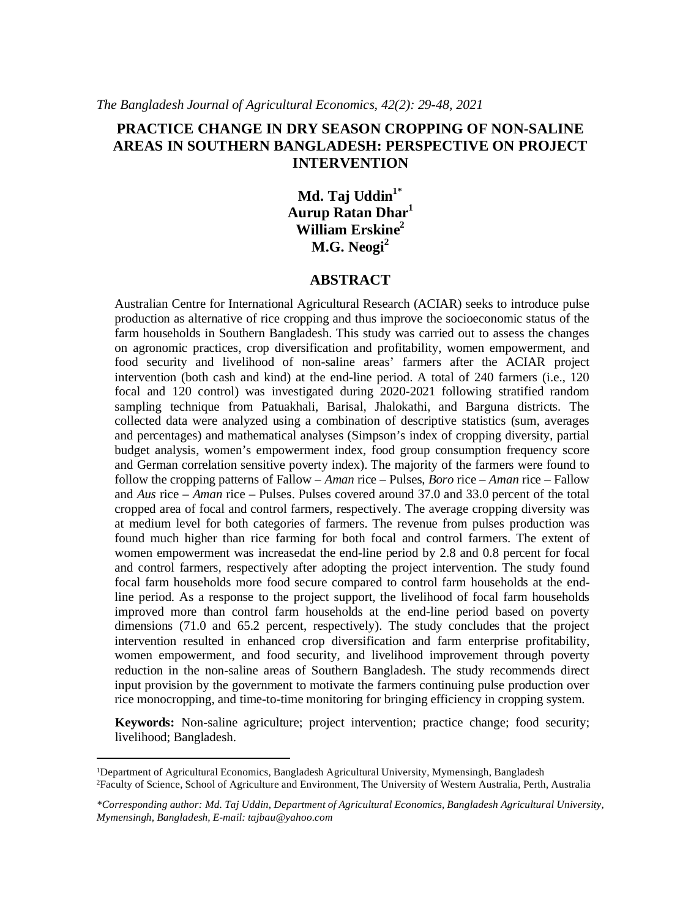# **PRACTICE CHANGE IN DRY SEASON CROPPING OF NON-SALINE AREAS IN SOUTHERN BANGLADESH: PERSPECTIVE ON PROJECT INTERVENTION**

**Md. Taj Uddin1\* Aurup Ratan Dhar<sup>1</sup> William Erskine<sup>2</sup> M.G. Neogi<sup>2</sup>**

### **ABSTRACT**

Australian Centre for International Agricultural Research (ACIAR) seeks to introduce pulse production as alternative of rice cropping and thus improve the socioeconomic status of the farm households in Southern Bangladesh. This study was carried out to assess the changes on agronomic practices, crop diversification and profitability, women empowerment, and food security and livelihood of non-saline areas' farmers after the ACIAR project intervention (both cash and kind) at the end-line period. A total of 240 farmers (i.e., 120 focal and 120 control) was investigated during 2020-2021 following stratified random sampling technique from Patuakhali, Barisal, Jhalokathi, and Barguna districts. The collected data were analyzed using a combination of descriptive statistics (sum, averages and percentages) and mathematical analyses (Simpson's index of cropping diversity, partial budget analysis, women's empowerment index, food group consumption frequency score and German correlation sensitive poverty index). The majority of the farmers were found to follow the cropping patterns of Fallow – *Aman* rice – Pulses, *Boro* rice – *Aman* rice – Fallow and *Aus* rice – *Aman* rice – Pulses. Pulses covered around 37.0 and 33.0 percent of the total cropped area of focal and control farmers, respectively. The average cropping diversity was at medium level for both categories of farmers. The revenue from pulses production was found much higher than rice farming for both focal and control farmers. The extent of women empowerment was increasedat the end-line period by 2.8 and 0.8 percent for focal and control farmers, respectively after adopting the project intervention. The study found focal farm households more food secure compared to control farm households at the endline period. As a response to the project support, the livelihood of focal farm households improved more than control farm households at the end-line period based on poverty dimensions (71.0 and 65.2 percent, respectively). The study concludes that the project intervention resulted in enhanced crop diversification and farm enterprise profitability, women empowerment, and food security, and livelihood improvement through poverty reduction in the non-saline areas of Southern Bangladesh. The study recommends direct input provision by the government to motivate the farmers continuing pulse production over rice monocropping, and time-to-time monitoring for bringing efficiency in cropping system.

**Keywords:** Non-saline agriculture; project intervention; practice change; food security; livelihood; Bangladesh.

<sup>1</sup>Department of Agricultural Economics, Bangladesh Agricultural University, Mymensingh, Bangladesh <sup>2</sup>Faculty of Science, School of Agriculture and Environment, The University of Western Australia, Perth, Australia

*<sup>\*</sup>Corresponding author: Md. Taj Uddin, Department of Agricultural Economics, Bangladesh Agricultural University, Mymensingh, Bangladesh, E-mail: tajbau@yahoo.com*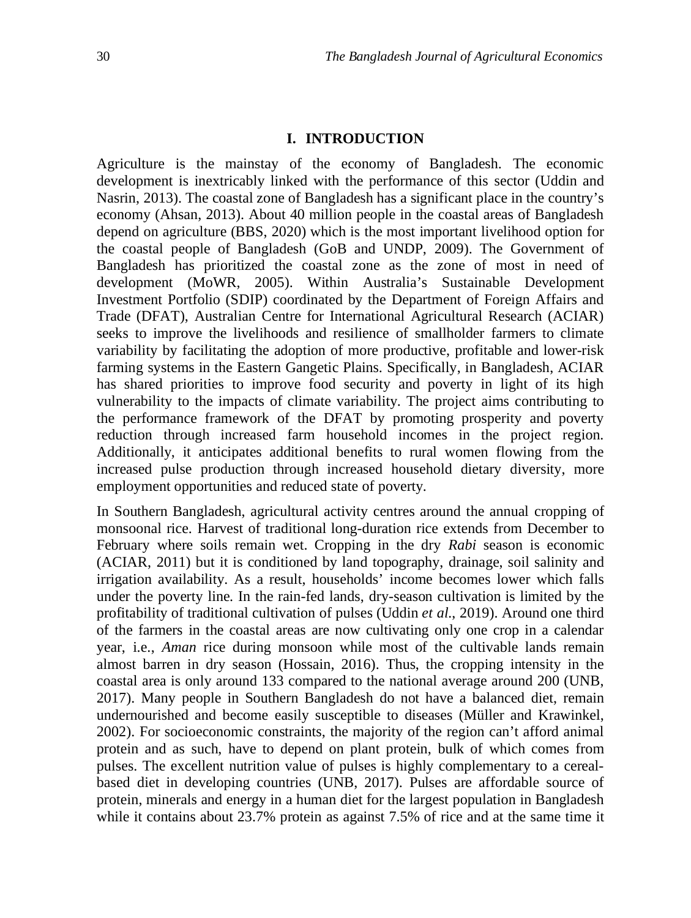### **I. INTRODUCTION**

Agriculture is the mainstay of the economy of Bangladesh. The economic development is inextricably linked with the performance of this sector (Uddin and Nasrin, 2013). The coastal zone of Bangladesh has a significant place in the country's economy (Ahsan, 2013). About 40 million people in the coastal areas of Bangladesh depend on agriculture (BBS, 2020) which is the most important livelihood option for the coastal people of Bangladesh (GoB and UNDP, 2009). The Government of Bangladesh has prioritized the coastal zone as the zone of most in need of development (MoWR, 2005). Within Australia's Sustainable Development Investment Portfolio (SDIP) coordinated by the Department of Foreign Affairs and Trade (DFAT), Australian Centre for International Agricultural Research (ACIAR) seeks to improve the livelihoods and resilience of smallholder farmers to climate variability by facilitating the adoption of more productive, profitable and lower-risk farming systems in the Eastern Gangetic Plains. Specifically, in Bangladesh, ACIAR has shared priorities to improve food security and poverty in light of its high vulnerability to the impacts of climate variability. The project aims contributing to the performance framework of the DFAT by promoting prosperity and poverty reduction through increased farm household incomes in the project region. Additionally, it anticipates additional benefits to rural women flowing from the increased pulse production through increased household dietary diversity, more employment opportunities and reduced state of poverty.

In Southern Bangladesh, agricultural activity centres around the annual cropping of monsoonal rice. Harvest of traditional long-duration rice extends from December to February where soils remain wet. Cropping in the dry *Rabi* season is economic (ACIAR, 2011) but it is conditioned by land topography, drainage, soil salinity and irrigation availability. As a result, households' income becomes lower which falls under the poverty line. In the rain-fed lands, dry-season cultivation is limited by the profitability of traditional cultivation of pulses (Uddin *et al.*, 2019). Around one third of the farmers in the coastal areas are now cultivating only one crop in a calendar year, i.e., *Aman* rice during monsoon while most of the cultivable lands remain almost barren in dry season (Hossain, 2016). Thus, the cropping intensity in the coastal area is only around 133 compared to the national average around 200 (UNB, 2017). Many people in Southern Bangladesh do not have a balanced diet, remain undernourished and become easily susceptible to diseases (Müller and Krawinkel, 2002). For socioeconomic constraints, the majority of the region can't afford animal protein and as such, have to depend on plant protein, bulk of which comes from pulses. The excellent nutrition value of pulses is highly complementary to a cerealbased diet in developing countries (UNB, 2017). Pulses are affordable source of protein, minerals and energy in a human diet for the largest population in Bangladesh while it contains about 23.7% protein as against 7.5% of rice and at the same time it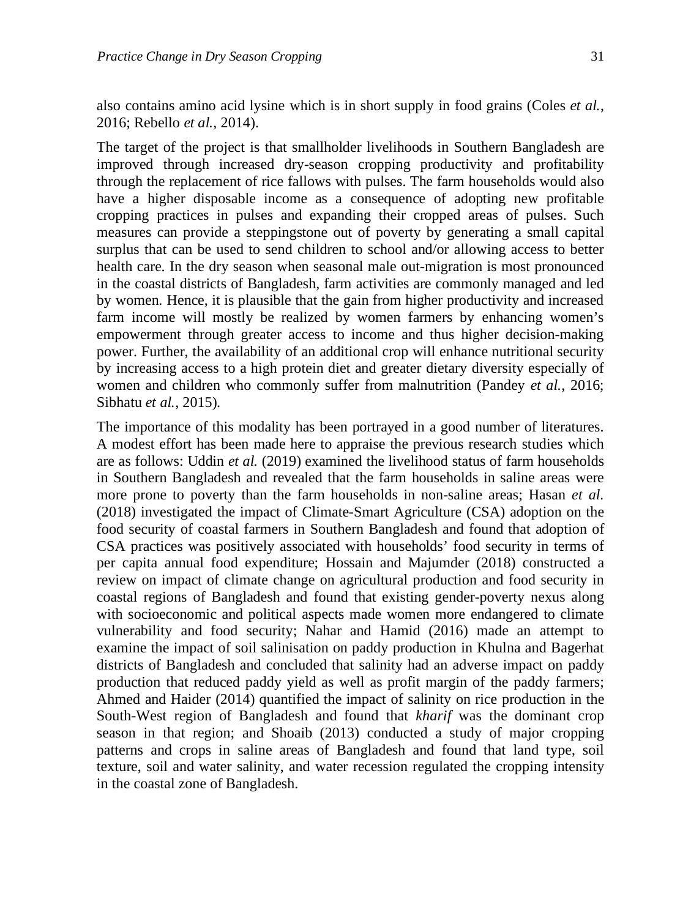also contains amino acid lysine which is in short supply in food grains (Coles *et al.*, 2016; Rebello *et al.*, 2014).

The target of the project is that smallholder livelihoods in Southern Bangladesh are improved through increased dry-season cropping productivity and profitability through the replacement of rice fallows with pulses. The farm households would also have a higher disposable income as a consequence of adopting new profitable cropping practices in pulses and expanding their cropped areas of pulses. Such measures can provide a steppingstone out of poverty by generating a small capital surplus that can be used to send children to school and/or allowing access to better health care. In the dry season when seasonal male out-migration is most pronounced in the coastal districts of Bangladesh, farm activities are commonly managed and led by women. Hence, it is plausible that the gain from higher productivity and increased farm income will mostly be realized by women farmers by enhancing women's empowerment through greater access to income and thus higher decision-making power. Further, the availability of an additional crop will enhance nutritional security by increasing access to a high protein diet and greater dietary diversity especially of women and children who commonly suffer from malnutrition (Pandey *et al.*, 2016; Sibhatu *et al.*, 2015).

The importance of this modality has been portrayed in a good number of literatures. A modest effort has been made here to appraise the previous research studies which are as follows: Uddin *et al.* (2019) examined the livelihood status of farm households in Southern Bangladesh and revealed that the farm households in saline areas were more prone to poverty than the farm households in non-saline areas; Hasan *et al.* (2018) investigated the impact of Climate-Smart Agriculture (CSA) adoption on the food security of coastal farmers in Southern Bangladesh and found that adoption of CSA practices was positively associated with households' food security in terms of per capita annual food expenditure; Hossain and Majumder (2018) constructed a review on impact of climate change on agricultural production and food security in coastal regions of Bangladesh and found that existing gender-poverty nexus along with socioeconomic and political aspects made women more endangered to climate vulnerability and food security; Nahar and Hamid (2016) made an attempt to examine the impact of soil salinisation on paddy production in Khulna and Bagerhat districts of Bangladesh and concluded that salinity had an adverse impact on paddy production that reduced paddy yield as well as profit margin of the paddy farmers; Ahmed and Haider (2014) quantified the impact of salinity on rice production in the South-West region of Bangladesh and found that *kharif* was the dominant crop season in that region; and Shoaib (2013) conducted a study of major cropping patterns and crops in saline areas of Bangladesh and found that land type, soil texture, soil and water salinity, and water recession regulated the cropping intensity in the coastal zone of Bangladesh.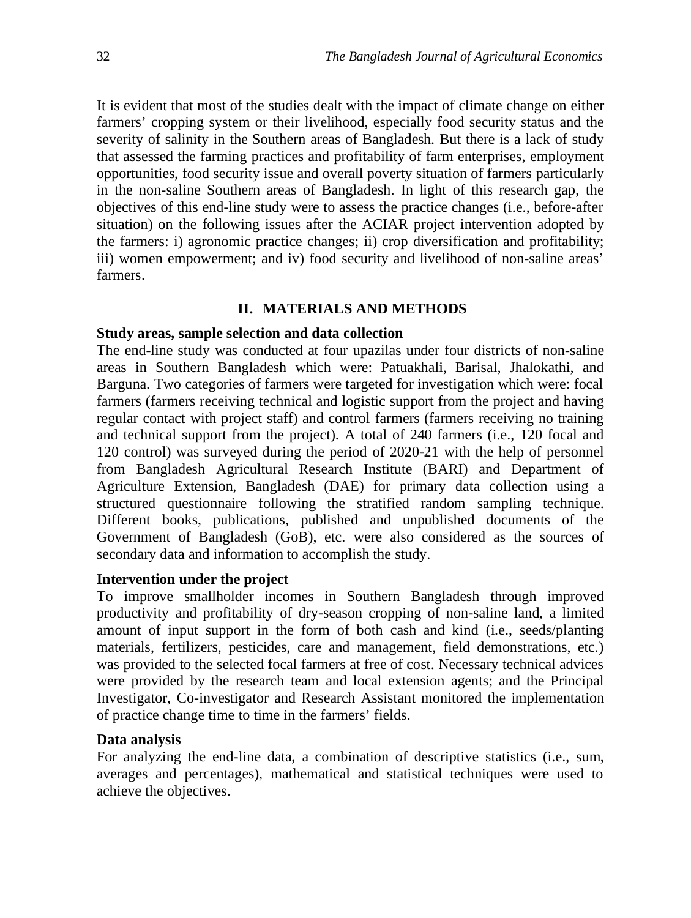It is evident that most of the studies dealt with the impact of climate change on either farmers' cropping system or their livelihood, especially food security status and the severity of salinity in the Southern areas of Bangladesh. But there is a lack of study that assessed the farming practices and profitability of farm enterprises, employment opportunities, food security issue and overall poverty situation of farmers particularly in the non-saline Southern areas of Bangladesh. In light of this research gap, the objectives of this end-line study were to assess the practice changes (i.e., before-after situation) on the following issues after the ACIAR project intervention adopted by the farmers: i) agronomic practice changes; ii) crop diversification and profitability; iii) women empowerment; and iv) food security and livelihood of non-saline areas' farmers.

# **II. MATERIALS AND METHODS**

# **Study areas, sample selection and data collection**

The end-line study was conducted at four upazilas under four districts of non-saline areas in Southern Bangladesh which were: Patuakhali, Barisal, Jhalokathi, and Barguna. Two categories of farmers were targeted for investigation which were: focal farmers (farmers receiving technical and logistic support from the project and having regular contact with project staff) and control farmers (farmers receiving no training and technical support from the project). A total of 240 farmers (i.e., 120 focal and 120 control) was surveyed during the period of 2020-21 with the help of personnel from Bangladesh Agricultural Research Institute (BARI) and Department of Agriculture Extension, Bangladesh (DAE) for primary data collection using a structured questionnaire following the stratified random sampling technique. Different books, publications, published and unpublished documents of the Government of Bangladesh (GoB), etc. were also considered as the sources of secondary data and information to accomplish the study.

## **Intervention under the project**

To improve smallholder incomes in Southern Bangladesh through improved productivity and profitability of dry-season cropping of non-saline land, a limited amount of input support in the form of both cash and kind (i.e., seeds/planting materials, fertilizers, pesticides, care and management, field demonstrations, etc.) was provided to the selected focal farmers at free of cost. Necessary technical advices were provided by the research team and local extension agents; and the Principal Investigator, Co-investigator and Research Assistant monitored the implementation of practice change time to time in the farmers' fields.

## **Data analysis**

For analyzing the end-line data, a combination of descriptive statistics (i.e., sum, averages and percentages), mathematical and statistical techniques were used to achieve the objectives.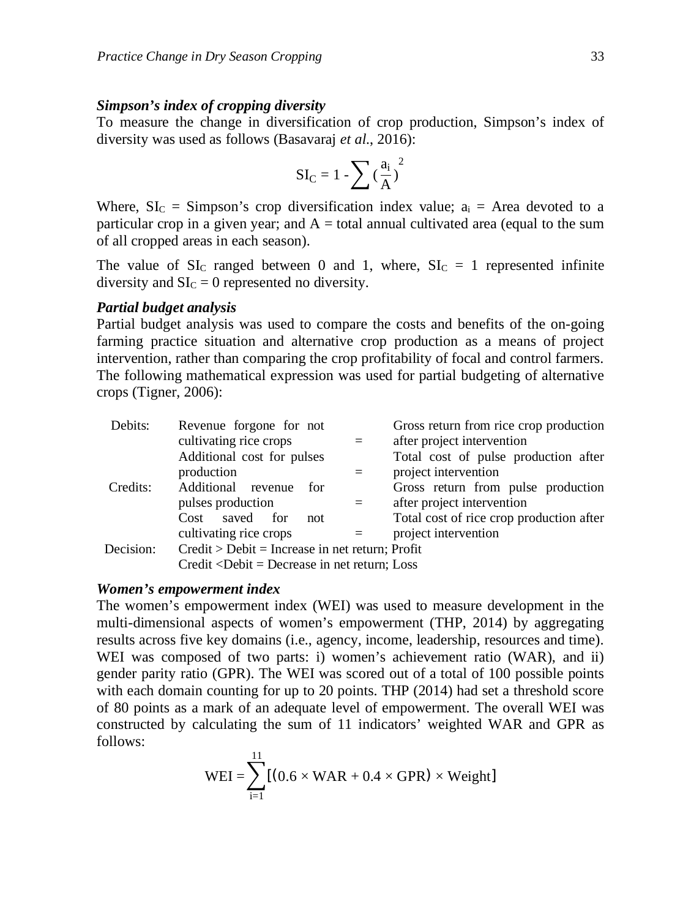#### *Simpson's index of cropping diversity*

To measure the change in diversification of crop production, Simpson's index of diversity was used as follows (Basavaraj *et al.*, 2016):

$$
SI_C=1-\sum{(\frac{a_i}{A})}^2
$$

Where,  $SL_C =$  Simpson's crop diversification index value;  $a_i =$  Area devoted to a particular crop in a given year; and  $A =$  total annual cultivated area (equal to the sum of all cropped areas in each season).

The value of  $SL<sub>C</sub>$  ranged between 0 and 1, where,  $SL<sub>C</sub> = 1$  represented infinite diversity and  $SLC = 0$  represented no diversity.

# *Partial budget analysis*

Partial budget analysis was used to compare the costs and benefits of the on-going farming practice situation and alternative crop production as a means of project intervention, rather than comparing the crop profitability of focal and control farmers. The following mathematical expression was used for partial budgeting of alternative crops (Tigner, 2006):

| Debits:   | Revenue forgone for not                                                                          |     | Gross return from rice crop production   |
|-----------|--------------------------------------------------------------------------------------------------|-----|------------------------------------------|
|           | cultivating rice crops                                                                           | $=$ | after project intervention               |
|           | Additional cost for pulses                                                                       |     | Total cost of pulse production after     |
|           | production                                                                                       |     | project intervention                     |
| Credits:  | Additional revenue<br>for                                                                        |     | Gross return from pulse production       |
|           | pulses production                                                                                | $=$ | after project intervention               |
|           | saved for<br>Cost<br>not                                                                         |     | Total cost of rice crop production after |
|           | cultivating rice crops                                                                           |     | project intervention                     |
| Decision: | $Credit > Debit = Increase in net return; Profit$                                                |     |                                          |
|           | Credit <debit =="" decrease="" in="" loss<="" net="" return;="" td=""><td></td><td></td></debit> |     |                                          |

### *Women's empowerment index*

The women's empowerment index (WEI) was used to measure development in the multi-dimensional aspects of women's empowerment (THP, 2014) by aggregating results across five key domains (i.e., agency, income, leadership, resources and time). WEI was composed of two parts: i) women's achievement ratio (WAR), and ii) gender parity ratio (GPR). The WEI was scored out of a total of 100 possible points with each domain counting for up to 20 points. THP (2014) had set a threshold score of 80 points as a mark of an adequate level of empowerment. The overall WEI was constructed by calculating the sum of 11 indicators' weighted WAR and GPR as follows:

$$
WEI = \sum_{i=1}^{11} [(0.6 \times WAR + 0.4 \times GPR) \times Weight]
$$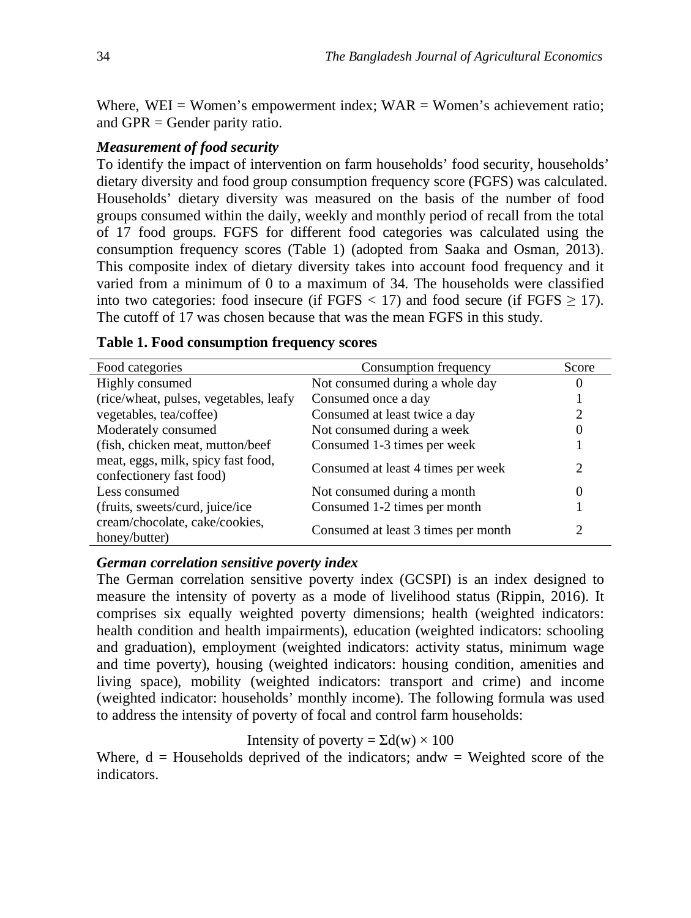Where,  $WEI = Women'sempowerment index; WAR = Women's achievement ratio;$ and GPR = Gender parity ratio.

# *Measurement of food security*

To identify the impact of intervention on farm households' food security, households' dietary diversity and food group consumption frequency score (FGFS) was calculated. Households' dietary diversity was measured on the basis of the number of food groups consumed within the daily, weekly and monthly period of recall from the total of 17 food groups. FGFS for different food categories was calculated using the consumption frequency scores (Table 1) (adopted from Saaka and Osman, 2013). This composite index of dietary diversity takes into account food frequency and it varied from a minimum of 0 to a maximum of 34. The households were classified into two categories: food insecure (if FGFS  $\langle 17 \rangle$  and food secure (if FGFS  $\geq 17$ ). The cutoff of 17 was chosen because that was the mean FGFS in this study.

| Food categories                                                | Consumption frequency               | Score |
|----------------------------------------------------------------|-------------------------------------|-------|
| Highly consumed                                                | Not consumed during a whole day     | 0     |
| (rice/wheat, pulses, vegetables, leafy                         | Consumed once a day                 |       |
| vegetables, tea/coffee)                                        | Consumed at least twice a day       | 2     |
| Moderately consumed                                            | Not consumed during a week          |       |
| (fish, chicken meat, mutton/beef                               | Consumed 1-3 times per week         |       |
| meat, eggs, milk, spicy fast food,<br>confectionery fast food) | Consumed at least 4 times per week  | 2     |
| Less consumed                                                  | Not consumed during a month         | 0     |
| (fruits, sweets/curd, juice/ice                                | Consumed 1-2 times per month        |       |
| cream/chocolate, cake/cookies,<br>honey/butter)                | Consumed at least 3 times per month |       |

### **Table 1. Food consumption frequency scores**

#### *German correlation sensitive poverty index*

The German correlation sensitive poverty index (GCSPI) is an index designed to measure the intensity of poverty as a mode of livelihood status (Rippin, 2016). It comprises six equally weighted poverty dimensions; health (weighted indicators: health condition and health impairments), education (weighted indicators: schooling and graduation), employment (weighted indicators: activity status, minimum wage and time poverty), housing (weighted indicators: housing condition, amenities and living space), mobility (weighted indicators: transport and crime) and income (weighted indicator: households' monthly income). The following formula was used to address the intensity of poverty of focal and control farm households:

Intensity of poverty =  $\Sigma d(w) \times 100$ 

Where,  $d =$  Households deprived of the indicators; and  $w =$  Weighted score of the indicators.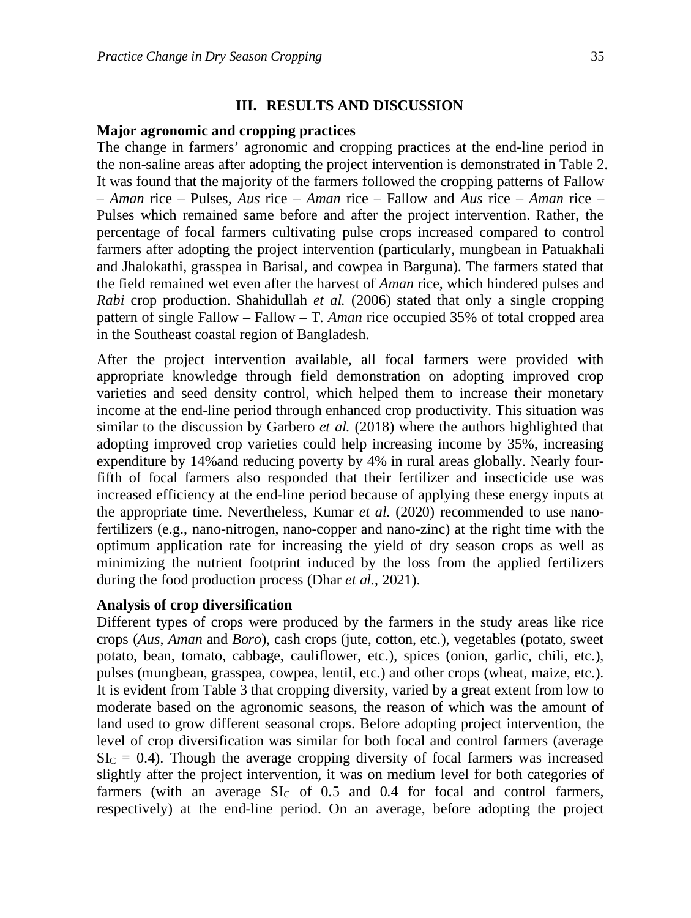## **III. RESULTS AND DISCUSSION**

### **Major agronomic and cropping practices**

The change in farmers' agronomic and cropping practices at the end-line period in the non-saline areas after adopting the project intervention is demonstrated in Table 2. It was found that the majority of the farmers followed the cropping patterns of Fallow – *Aman* rice – Pulses, *Aus* rice – *Aman* rice – Fallow and *Aus* rice – *Aman* rice – Pulses which remained same before and after the project intervention. Rather, the percentage of focal farmers cultivating pulse crops increased compared to control farmers after adopting the project intervention (particularly, mungbean in Patuakhali and Jhalokathi, grasspea in Barisal, and cowpea in Barguna). The farmers stated that the field remained wet even after the harvest of *Aman* rice, which hindered pulses and *Rabi* crop production. Shahidullah *et al.* (2006) stated that only a single cropping pattern of single Fallow – Fallow – T. *Aman* rice occupied 35% of total cropped area in the Southeast coastal region of Bangladesh.

After the project intervention available, all focal farmers were provided with appropriate knowledge through field demonstration on adopting improved crop varieties and seed density control, which helped them to increase their monetary income at the end-line period through enhanced crop productivity. This situation was similar to the discussion by Garbero *et al.* (2018) where the authors highlighted that adopting improved crop varieties could help increasing income by 35%, increasing expenditure by 14%and reducing poverty by 4% in rural areas globally. Nearly fourfifth of focal farmers also responded that their fertilizer and insecticide use was increased efficiency at the end-line period because of applying these energy inputs at the appropriate time. Nevertheless, Kumar *et al.* (2020) recommended to use nanofertilizers (e.g., nano-nitrogen, nano-copper and nano-zinc) at the right time with the optimum application rate for increasing the yield of dry season crops as well as minimizing the nutrient footprint induced by the loss from the applied fertilizers during the food production process (Dhar *et al.*, 2021).

### **Analysis of crop diversification**

Different types of crops were produced by the farmers in the study areas like rice crops (*Aus*, *Aman* and *Boro*), cash crops (jute, cotton, etc.), vegetables (potato, sweet potato, bean, tomato, cabbage, cauliflower, etc.), spices (onion, garlic, chili, etc.), pulses (mungbean, grasspea, cowpea, lentil, etc.) and other crops (wheat, maize, etc.). It is evident from Table 3 that cropping diversity, varied by a great extent from low to moderate based on the agronomic seasons, the reason of which was the amount of land used to grow different seasonal crops. Before adopting project intervention, the level of crop diversification was similar for both focal and control farmers (average  $SL<sub>C</sub> = 0.4$ ). Though the average cropping diversity of focal farmers was increased slightly after the project intervention, it was on medium level for both categories of farmers (with an average  $SL<sub>C</sub>$  of 0.5 and 0.4 for focal and control farmers, respectively) at the end-line period. On an average, before adopting the project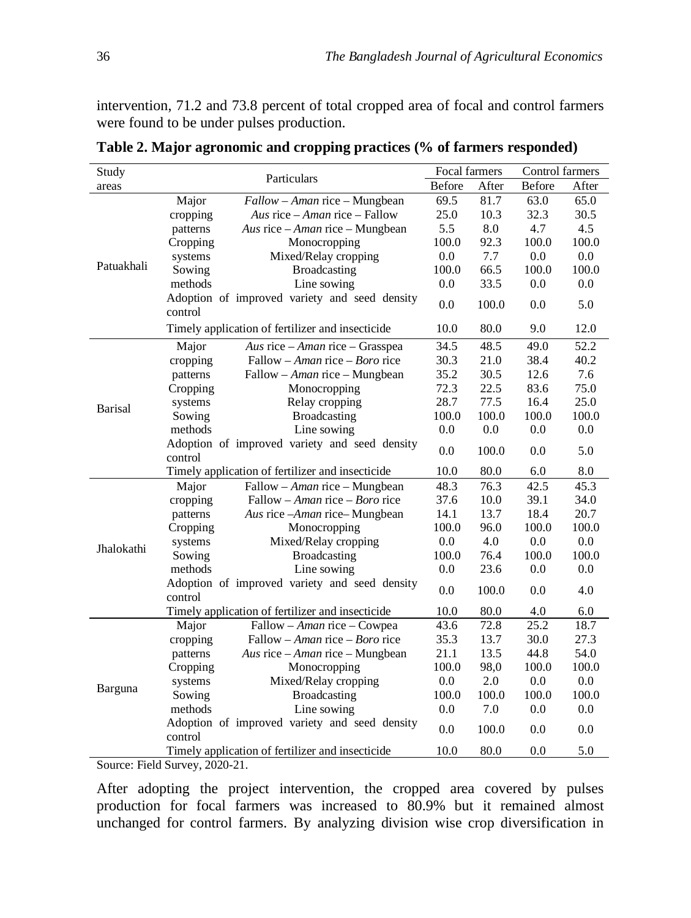intervention, 71.2 and 73.8 percent of total cropped area of focal and control farmers were found to be under pulses production.

| Study          | Particulars                                              | Focal farmers |       | Control farmers |         |
|----------------|----------------------------------------------------------|---------------|-------|-----------------|---------|
| areas          |                                                          | Before        | After | Before          | After   |
|                | Major<br>$Fallow - Aman$ rice – Mungbean                 | 69.5          | 81.7  | 63.0            | 65.0    |
|                | cropping<br>Aus rice – Aman rice – Fallow                | 25.0          | 10.3  | 32.3            | 30.5    |
|                | Aus rice $-A$ <i>man</i> rice $-M$ ungbean<br>patterns   | 5.5           | 8.0   | 4.7             | 4.5     |
|                | Cropping<br>Monocropping                                 | 100.0         | 92.3  | 100.0           | 100.0   |
|                | Mixed/Relay cropping<br>systems                          | 0.0           | 7.7   | 0.0             | 0.0     |
| Patuakhali     | Sowing<br>Broadcasting                                   | 100.0         | 66.5  | 100.0           | 100.0   |
|                | methods<br>Line sowing                                   | 0.0           | 33.5  | 0.0             | 0.0     |
|                | Adoption of improved variety and seed density<br>control | 0.0           | 100.0 | 0.0             | 5.0     |
|                | Timely application of fertilizer and insecticide         | 10.0          | 80.0  | 9.0             | 12.0    |
|                | Major<br>Aus rice $-A$ <i>man</i> rice $-G$ rasspea      | 34.5          | 48.5  | 49.0            | 52.2    |
|                | cropping<br>Fallow – Aman rice – Boro rice               | 30.3          | 21.0  | 38.4            | 40.2    |
|                | patterns<br>Fallow - Aman rice - Mungbean                | 35.2          | 30.5  | 12.6            | 7.6     |
|                | Cropping<br>Monocropping                                 | 72.3          | 22.5  | 83.6            | 75.0    |
|                | systems<br>Relay cropping                                | 28.7          | 77.5  | 16.4            | 25.0    |
| <b>Barisal</b> | Sowing<br><b>Broadcasting</b>                            | 100.0         | 100.0 | 100.0           | 100.0   |
|                | methods<br>Line sowing                                   | 0.0           | 0.0   | 0.0             | 0.0     |
|                | Adoption of improved variety and seed density<br>control | 0.0           | 100.0 | 0.0             | 5.0     |
|                | Timely application of fertilizer and insecticide         | 10.0          | 80.0  | 6.0             | $8.0\,$ |
|                | Major<br>Fallow – Aman rice – Mungbean                   | 48.3          | 76.3  | 42.5            | 45.3    |
|                | cropping<br>Fallow – Aman rice – Boro rice               | 37.6          | 10.0  | 39.1            | 34.0    |
|                | patterns<br>Aus rice -Aman rice-Mungbean                 | 14.1          | 13.7  | 18.4            | 20.7    |
|                | Cropping<br>Monocropping                                 | 100.0         | 96.0  | 100.0           | 100.0   |
|                | systems<br>Mixed/Relay cropping                          | 0.0           | 4.0   | 0.0             | 0.0     |
| Jhalokathi     | Sowing<br><b>Broadcasting</b>                            | 100.0         | 76.4  | 100.0           | 100.0   |
|                | methods<br>Line sowing                                   | 0.0           | 23.6  | 0.0             | 0.0     |
|                | Adoption of improved variety and seed density<br>control | 0.0           | 100.0 | 0.0             | 4.0     |
|                | Timely application of fertilizer and insecticide         | 10.0          | 80.0  | 4.0             | 6.0     |
|                | Fallow - Aman rice - Cowpea<br>Major                     | 43.6          | 72.8  | 25.2            | 18.7    |
|                | Fallow – Aman rice – Boro rice<br>cropping               | 35.3          | 13.7  | 30.0            | 27.3    |
|                | Aus rice - Aman rice - Mungbean<br>patterns              | 21.1          | 13.5  | 44.8            | 54.0    |
|                | Cropping<br>Monocropping                                 | 100.0         | 98,0  | 100.0           | 100.0   |
|                | Mixed/Relay cropping<br>systems                          | 0.0           | 2.0   | 0.0             | 0.0     |
| Barguna        | Sowing<br><b>Broadcasting</b>                            | 100.0         | 100.0 | 100.0           | 100.0   |
|                | methods<br>Line sowing                                   | 0.0           | 7.0   | 0.0             | 0.0     |
|                | Adoption of improved variety and seed density            | 0.0           | 100.0 | 0.0             | 0.0     |
|                | control                                                  |               |       |                 |         |
|                | Timely application of fertilizer and insecticide         | 10.0          | 80.0  | 0.0             | 5.0     |

**Table 2. Major agronomic and cropping practices (% of farmers responded)** 

Source: Field Survey, 2020-21.

After adopting the project intervention, the cropped area covered by pulses production for focal farmers was increased to 80.9% but it remained almost unchanged for control farmers. By analyzing division wise crop diversification in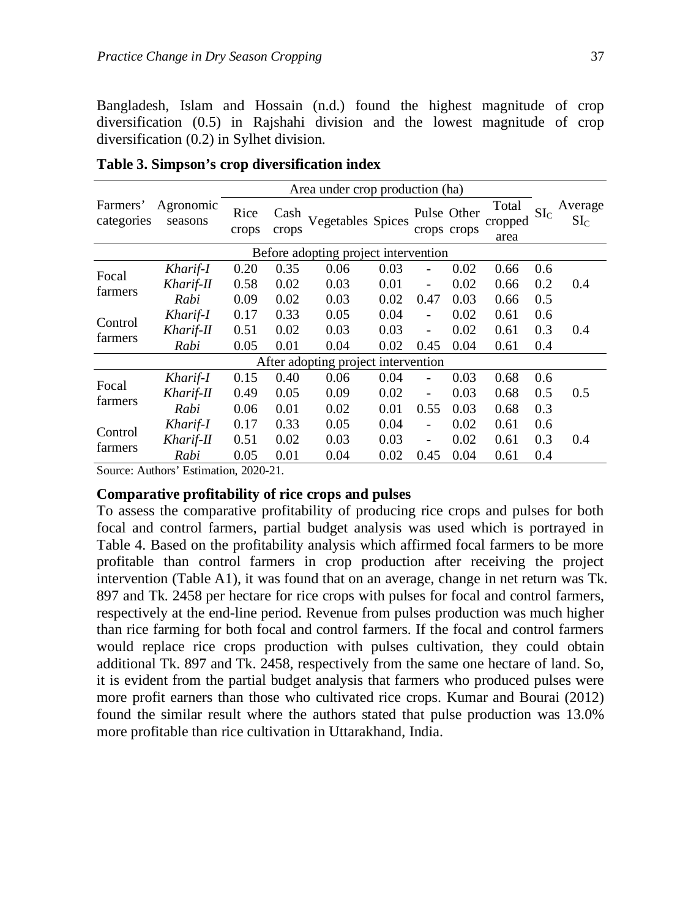Bangladesh, Islam and Hossain (n.d.) found the highest magnitude of crop diversification (0.5) in Rajshahi division and the lowest magnitude of crop diversification (0.2) in Sylhet division.

|                        |                      |               |               | Area under crop production (ha)      |      |                          |                            |                          |                 |                            |
|------------------------|----------------------|---------------|---------------|--------------------------------------|------|--------------------------|----------------------------|--------------------------|-----------------|----------------------------|
| Farmers'<br>categories | Agronomic<br>seasons | Rice<br>crops | Cash<br>crops | Vegetables Spices                    |      |                          | Pulse Other<br>crops crops | Total<br>cropped<br>area | SL <sub>C</sub> | Average<br>SI <sub>C</sub> |
|                        |                      |               |               | Before adopting project intervention |      |                          |                            |                          |                 |                            |
| Focal                  | Kharif-I             | 0.20          | 0.35          | 0.06                                 | 0.03 |                          | 0.02                       | 0.66                     | 0.6             |                            |
| farmers                | Kharif-II            | 0.58          | 0.02          | 0.03                                 | 0.01 |                          | 0.02                       | 0.66                     | 0.2             | 0.4                        |
|                        | Rabi                 | 0.09          | 0.02          | 0.03                                 | 0.02 | 0.47                     | 0.03                       | 0.66                     | 0.5             |                            |
| Control                | Kharif-I             | 0.17          | 0.33          | 0.05                                 | 0.04 |                          | 0.02                       | 0.61                     | 0.6             |                            |
| farmers                | Kharif-II            | 0.51          | 0.02          | 0.03                                 | 0.03 | $\overline{\phantom{a}}$ | 0.02                       | 0.61                     | 0.3             | 0.4                        |
|                        | Rabi                 | 0.05          | 0.01          | 0.04                                 | 0.02 | 0.45                     | 0.04                       | 0.61                     | 0.4             |                            |
|                        |                      |               |               | After adopting project intervention  |      |                          |                            |                          |                 |                            |
| Focal                  | Kharif-I             | 0.15          | 0.40          | 0.06                                 | 0.04 |                          | 0.03                       | 0.68                     | 0.6             |                            |
|                        | Kharif-II            | 0.49          | 0.05          | 0.09                                 | 0.02 |                          | 0.03                       | 0.68                     | 0.5             | 0.5                        |
| farmers                | Rabi                 | 0.06          | 0.01          | 0.02                                 | 0.01 | 0.55                     | 0.03                       | 0.68                     | 0.3             |                            |
| Control                | Kharif-I             | 0.17          | 0.33          | 0.05                                 | 0.04 | ٠                        | 0.02                       | 0.61                     | 0.6             |                            |
|                        | Kharif-II            | 0.51          | 0.02          | 0.03                                 | 0.03 | $\overline{\phantom{a}}$ | 0.02                       | 0.61                     | 0.3             | 0.4                        |
| farmers                | Rabi                 | 0.05          | 0.01          | 0.04                                 | 0.02 | 0.45                     | 0.04                       | 0.61                     | 0.4             |                            |

**Table 3. Simpson's crop diversification index** 

Source: Authors' Estimation, 2020-21.

# **Comparative profitability of rice crops and pulses**

To assess the comparative profitability of producing rice crops and pulses for both focal and control farmers, partial budget analysis was used which is portrayed in Table 4. Based on the profitability analysis which affirmed focal farmers to be more profitable than control farmers in crop production after receiving the project intervention (Table A1), it was found that on an average, change in net return was Tk. 897 and Tk. 2458 per hectare for rice crops with pulses for focal and control farmers, respectively at the end-line period. Revenue from pulses production was much higher than rice farming for both focal and control farmers. If the focal and control farmers would replace rice crops production with pulses cultivation, they could obtain additional Tk. 897 and Tk. 2458, respectively from the same one hectare of land. So, it is evident from the partial budget analysis that farmers who produced pulses were more profit earners than those who cultivated rice crops. Kumar and Bourai (2012) found the similar result where the authors stated that pulse production was 13.0% more profitable than rice cultivation in Uttarakhand, India.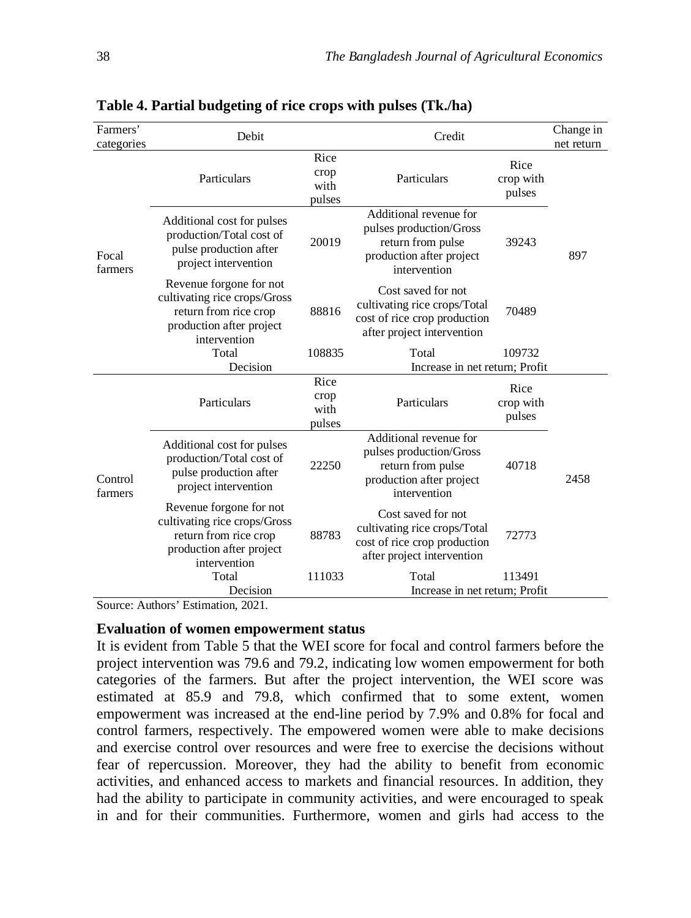| Farmers'<br>categories | Debit                                                                                                                        |                                | Credit                                                                                                             |                             | Change in<br>net return |
|------------------------|------------------------------------------------------------------------------------------------------------------------------|--------------------------------|--------------------------------------------------------------------------------------------------------------------|-----------------------------|-------------------------|
|                        | Particulars                                                                                                                  | Rice<br>crop<br>with<br>pulses | Particulars                                                                                                        | Rice<br>crop with<br>pulses |                         |
| Focal<br>farmers       | Additional cost for pulses<br>production/Total cost of<br>pulse production after<br>project intervention                     | 20019                          | Additional revenue for<br>pulses production/Gross<br>return from pulse<br>production after project<br>intervention | 39243                       | 897                     |
|                        | Revenue forgone for not<br>cultivating rice crops/Gross<br>return from rice crop<br>production after project<br>intervention | 88816                          | Cost saved for not<br>cultivating rice crops/Total<br>cost of rice crop production<br>after project intervention   | 70489                       |                         |
|                        | Total                                                                                                                        | 108835                         | Total                                                                                                              | 109732                      |                         |
|                        | Decision                                                                                                                     | Rice                           | Increase in net return; Profit                                                                                     |                             |                         |
|                        | Particulars                                                                                                                  | crop<br>with<br>pulses         | Particulars                                                                                                        | Rice<br>crop with<br>pulses |                         |
| Control<br>farmers     | Additional cost for pulses<br>production/Total cost of<br>pulse production after<br>project intervention                     | 22250                          | Additional revenue for<br>pulses production/Gross<br>return from pulse<br>production after project<br>intervention | 40718                       | 2458                    |
|                        | Revenue forgone for not<br>cultivating rice crops/Gross<br>return from rice crop<br>production after project<br>intervention | 88783                          | Cost saved for not<br>cultivating rice crops/Total<br>cost of rice crop production<br>after project intervention   | 72773                       |                         |
|                        | Total<br>Decision                                                                                                            | 111033                         | Total<br>Increase in net return; Profit                                                                            | 113491                      |                         |

**Table 4. Partial budgeting of rice crops with pulses (Tk./ha)** 

Source: Authors' Estimation, 2021.

#### **Evaluation of women empowerment status**

It is evident from Table 5 that the WEI score for focal and control farmers before the project intervention was 79.6 and 79.2, indicating low women empowerment for both categories of the farmers. But after the project intervention, the WEI score was estimated at 85.9 and 79.8, which confirmed that to some extent, women empowerment was increased at the end-line period by 7.9% and 0.8% for focal and control farmers, respectively. The empowered women were able to make decisions and exercise control over resources and were free to exercise the decisions without fear of repercussion. Moreover, they had the ability to benefit from economic activities, and enhanced access to markets and financial resources. In addition, they had the ability to participate in community activities, and were encouraged to speak in and for their communities. Furthermore, women and girls had access to the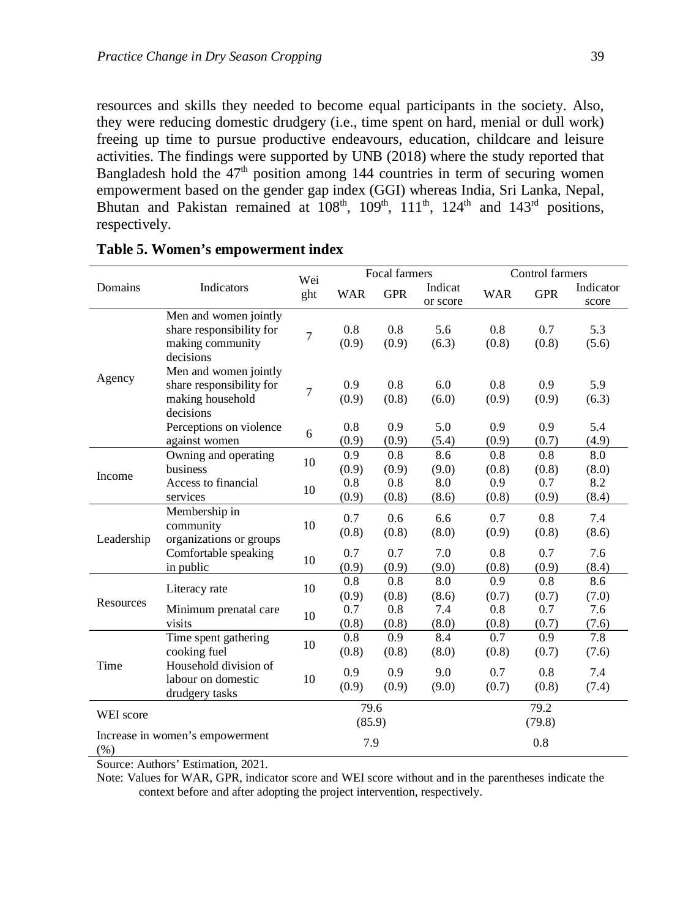resources and skills they needed to become equal participants in the society. Also, they were reducing domestic drudgery (i.e., time spent on hard, menial or dull work) freeing up time to pursue productive endeavours, education, childcare and leisure activities. The findings were supported by UNB (2018) where the study reported that Bangladesh hold the  $47<sup>th</sup>$  position among 144 countries in term of securing women empowerment based on the gender gap index (GGI) whereas India, Sri Lanka, Nepal, Bhutan and Pakistan remained at  $108<sup>th</sup>$ ,  $109<sup>th</sup>$ ,  $111<sup>th</sup>$ ,  $124<sup>th</sup>$  and  $143<sup>rd</sup>$  positions, respectively.

|            |                                                                                    | Wei            |                | Focal farmers |                     |              | Control farmers |                    |
|------------|------------------------------------------------------------------------------------|----------------|----------------|---------------|---------------------|--------------|-----------------|--------------------|
| Domains    | Indicators                                                                         | ght            | WAR            | <b>GPR</b>    | Indicat<br>or score | <b>WAR</b>   | <b>GPR</b>      | Indicator<br>score |
|            | Men and women jointly<br>share responsibility for<br>making community<br>decisions | $\overline{7}$ | 0.8<br>(0.9)   | 0.8<br>(0.9)  | 5.6<br>(6.3)        | 0.8<br>(0.8) | 0.7<br>(0.8)    | 5.3<br>(5.6)       |
| Agency     | Men and women jointly<br>share responsibility for<br>making household<br>decisions | 7              | 0.9<br>(0.9)   | 0.8<br>(0.8)  | 6.0<br>(6.0)        | 0.8<br>(0.9) | 0.9<br>(0.9)    | 5.9<br>(6.3)       |
|            | Perceptions on violence<br>against women                                           | 6              | 0.8<br>(0.9)   | 0.9<br>(0.9)  | 5.0<br>(5.4)        | 0.9<br>(0.9) | 0.9<br>(0.7)    | 5.4<br>(4.9)       |
| Income     | Owning and operating<br>business                                                   | 10             | 0.9<br>(0.9)   | 0.8<br>(0.9)  | 8.6<br>(9.0)        | 0.8<br>(0.8) | 0.8<br>(0.8)    | 8.0<br>(8.0)       |
|            | Access to financial<br>services                                                    | 10             | 0.8<br>(0.9)   | 0.8<br>(0.8)  | 8.0<br>(8.6)        | 0.9<br>(0.8) | 0.7<br>(0.9)    | 8.2<br>(8.4)       |
| Leadership | Membership in<br>community<br>organizations or groups                              | 10             | 0.7<br>(0.8)   | 0.6<br>(0.8)  | 6.6<br>(8.0)        | 0.7<br>(0.9) | 0.8<br>(0.8)    | 7.4<br>(8.6)       |
|            | Comfortable speaking<br>in public                                                  | 10             | 0.7<br>(0.9)   | 0.7<br>(0.9)  | 7.0<br>(9.0)        | 0.8<br>(0.8) | 0.7<br>(0.9)    | 7.6<br>(8.4)       |
| Resources  | Literacy rate                                                                      | 10             | 0.8<br>(0.9)   | 0.8<br>(0.8)  | 8.0<br>(8.6)        | 0.9<br>(0.7) | 0.8<br>(0.7)    | 8.6<br>(7.0)       |
|            | Minimum prenatal care<br>visits                                                    | 10             | 0.7<br>(0.8)   | 0.8<br>(0.8)  | 7.4<br>(8.0)        | 0.8<br>(0.8) | 0.7<br>(0.7)    | 7.6<br>(7.6)       |
|            | Time spent gathering<br>cooking fuel                                               | 10             | 0.8<br>(0.8)   | 0.9<br>(0.8)  | 8.4<br>(8.0)        | 0.7<br>(0.8) | 0.9<br>(0.7)    | 7.8<br>(7.6)       |
| Time       | Household division of<br>labour on domestic<br>drudgery tasks                      | 10             | 0.9<br>(0.9)   | 0.9<br>(0.9)  | 9.0<br>(9.0)        | 0.7<br>(0.7) | 0.8<br>(0.8)    | 7.4<br>(7.4)       |
| WEI score  |                                                                                    |                | 79.6<br>(85.9) |               |                     |              | 79.2<br>(79.8)  |                    |
| (%)        | Increase in women's empowerment                                                    |                | 7.9            |               |                     |              | 0.8             |                    |

### **Table 5. Women's empowerment index**

Source: Authors' Estimation, 2021.

Note: Values for WAR, GPR, indicator score and WEI score without and in the parentheses indicate the context before and after adopting the project intervention, respectively.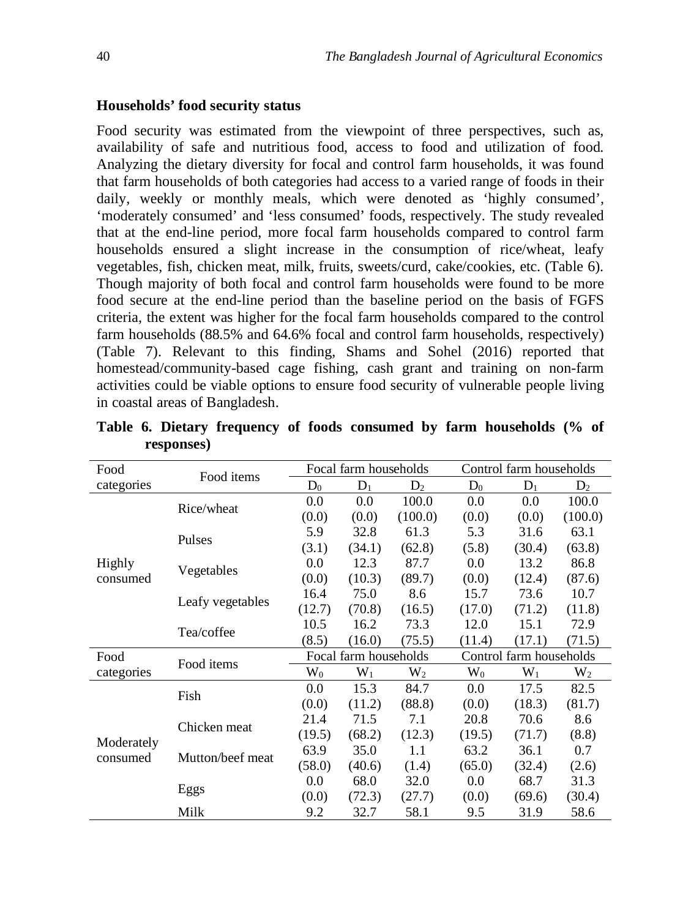## **Households' food security status**

Food security was estimated from the viewpoint of three perspectives, such as, availability of safe and nutritious food, access to food and utilization of food. Analyzing the dietary diversity for focal and control farm households, it was found that farm households of both categories had access to a varied range of foods in their daily, weekly or monthly meals, which were denoted as 'highly consumed', 'moderately consumed' and 'less consumed' foods, respectively. The study revealed that at the end-line period, more focal farm households compared to control farm households ensured a slight increase in the consumption of rice/wheat, leafy vegetables, fish, chicken meat, milk, fruits, sweets/curd, cake/cookies, etc. (Table 6). Though majority of both focal and control farm households were found to be more food secure at the end-line period than the baseline period on the basis of FGFS criteria, the extent was higher for the focal farm households compared to the control farm households (88.5% and 64.6% focal and control farm households, respectively) (Table 7). Relevant to this finding, Shams and Sohel (2016) reported that homestead/community-based cage fishing, cash grant and training on non-farm activities could be viable options to ensure food security of vulnerable people living in coastal areas of Bangladesh.

| Food                   |                  |           | Focal farm households |           |        | Control farm households |           |
|------------------------|------------------|-----------|-----------------------|-----------|--------|-------------------------|-----------|
| categories             | Food items       | $D_0$     | $D_1$                 | $D_2$     | $D_0$  | $D_1$                   | $D_2$     |
|                        | Rice/wheat       | 0.0       | 0.0                   | 100.0     | 0.0    | 0.0                     | 100.0     |
|                        |                  | (0.0)     | (0.0)                 | (100.0)   | (0.0)  | (0.0)                   | (100.0)   |
|                        | Pulses           | 5.9       | 32.8                  | 61.3      | 5.3    | 31.6                    | 63.1      |
|                        |                  | (3.1)     | (34.1)                | (62.8)    | (5.8)  | (30.4)                  | (63.8)    |
| <b>Highly</b>          |                  | 0.0       | 12.3                  | 87.7      | 0.0    | 13.2                    | 86.8      |
| consumed               | Vegetables       | (0.0)     | (10.3)                | (89.7)    | (0.0)  | (12.4)                  | (87.6)    |
|                        |                  | 16.4      | 75.0                  | 8.6       | 15.7   | 73.6                    | 10.7      |
|                        | Leafy vegetables | (12.7)    | (70.8)                | (16.5)    | (17.0) | (71.2)                  | (11.8)    |
|                        | Tea/coffee       | 10.5      | 16.2                  | 73.3      | 12.0   | 15.1                    | 72.9      |
|                        |                  | (8.5)     | (16.0)                | (75.5)    | (11.4) | (17.1)                  | (71.5)    |
| Food                   | Food items       |           | Focal farm households |           |        | Control farm households |           |
| categories             |                  | $\rm W_0$ | $W_1$                 | $\rm W_2$ | $W_0$  | $W_1$                   | $\rm W_2$ |
|                        | Fish             | 0.0       | 15.3                  | 84.7      | 0.0    | 17.5                    | 82.5      |
|                        |                  | (0.0)     | (11.2)                | (88.8)    | (0.0)  | (18.3)                  | (81.7)    |
|                        | Chicken meat     | 21.4      | 71.5                  | 7.1       | 20.8   | 70.6                    | 8.6       |
|                        |                  | (19.5)    | (68.2)                | (12.3)    | (19.5) | (71.7)                  | (8.8)     |
| Moderately<br>consumed | Mutton/beef meat | 63.9      | 35.0                  | 1.1       | 63.2   | 36.1                    | 0.7       |
|                        |                  | (58.0)    | (40.6)                | (1.4)     | (65.0) | (32.4)                  | (2.6)     |
|                        |                  | 0.0       | 68.0                  | 32.0      | 0.0    | 68.7                    | 31.3      |
|                        | Eggs             | (0.0)     | (72.3)                | (27.7)    | (0.0)  | (69.6)                  | (30.4)    |
|                        | Milk             | 9.2       | 32.7                  | 58.1      | 9.5    | 31.9                    | 58.6      |

**Table 6. Dietary frequency of foods consumed by farm households (% of responses)**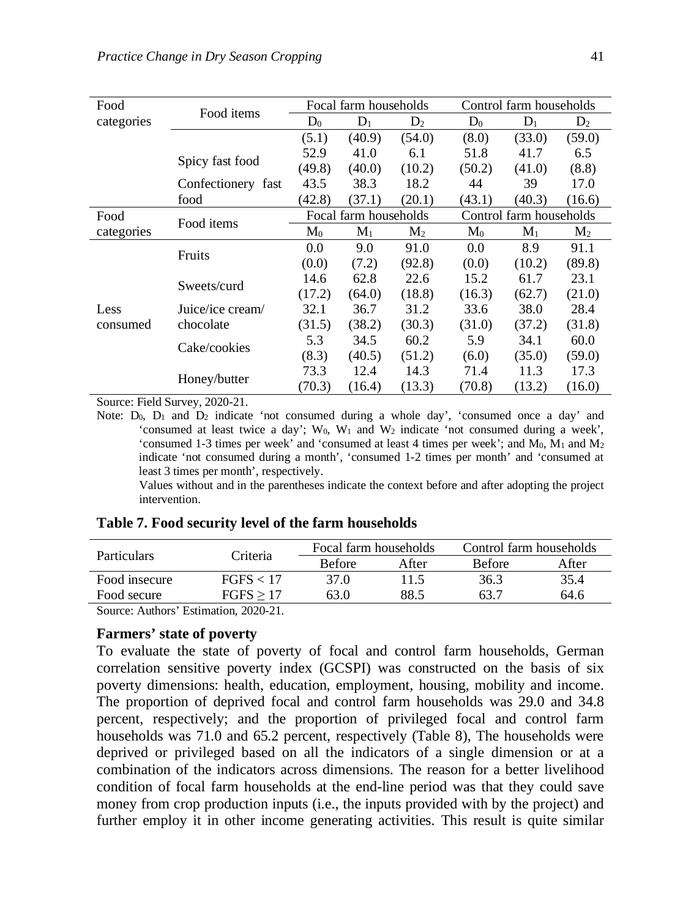| Food       | Food items         |                | Focal farm households |                |                | Control farm households |                |
|------------|--------------------|----------------|-----------------------|----------------|----------------|-------------------------|----------------|
| categories |                    | $D_0$          | $D_1$                 | $D_2$          | $D_0$          | $D_1$                   | $D_2$          |
|            |                    | (5.1)          | (40.9)                | (54.0)         | (8.0)          | (33.0)                  | (59.0)         |
|            |                    | 52.9           | 41.0                  | 6.1            | 51.8           | 41.7                    | 6.5            |
|            | Spicy fast food    | (49.8)         | (40.0)                | (10.2)         | (50.2)         | (41.0)                  | (8.8)          |
|            | Confectionery fast | 43.5           | 38.3                  | 18.2           | 44             | 39                      | 17.0           |
|            | food               | (42.8)         | (37.1)                | (20.1)         | (43.1)         | (40.3)                  | (16.6)         |
| Food       | Food items         |                | Focal farm households |                |                | Control farm households |                |
| categories |                    | $\mathrm{M}_0$ | $M_1$                 | M <sub>2</sub> | $\mathbf{M}_0$ | $M_1$                   | M <sub>2</sub> |
|            | Fruits             | 0.0            | 9.0                   | 91.0           | 0.0            | 8.9                     | 91.1           |
|            |                    | (0.0)          | (7.2)                 | (92.8)         | (0.0)          | (10.2)                  | (89.8)         |
|            | Sweets/curd        | 14.6           | 62.8                  | 22.6           | 15.2           | 61.7                    | 23.1           |
|            |                    | (17.2)         | (64.0)                | (18.8)         | (16.3)         | (62.7)                  | (21.0)         |
| Less       | Juice/ice cream/   | 32.1           | 36.7                  | 31.2           | 33.6           | 38.0                    | 28.4           |
| consumed   | chocolate          | (31.5)         | (38.2)                | (30.3)         | (31.0)         | (37.2)                  | (31.8)         |
|            | Cake/cookies       | 5.3            | 34.5                  | 60.2           | 5.9            | 34.1                    | 60.0           |
|            |                    | (8.3)          | (40.5)                | (51.2)         | (6.0)          | (35.0)                  | (59.0)         |
|            |                    | 73.3           | 12.4                  | 14.3           | 71.4           | 11.3                    | 17.3           |
|            | Honey/butter       | (70.3)         | (16.4)                | (13.3)         | (70.8)         | (13.2)                  | (16.0)         |

Source: Field Survey, 2020-21.

Note: D<sub>0</sub>, D<sub>1</sub> and D<sub>2</sub> indicate 'not consumed during a whole day', 'consumed once a day' and 'consumed at least twice a day';  $W_0$ ,  $W_1$  and  $W_2$  indicate 'not consumed during a week', 'consumed 1-3 times per week' and 'consumed at least 4 times per week'; and M<sub>0</sub>, M<sub>1</sub> and M<sub>2</sub> indicate 'not consumed during a month', 'consumed 1-2 times per month' and 'consumed at least 3 times per month', respectively.

Values without and in the parentheses indicate the context before and after adopting the project intervention.

#### **Table 7. Food security level of the farm households**

| <b>Particulars</b> | Criteria  | Focal farm households |       | Control farm households |       |
|--------------------|-----------|-----------------------|-------|-------------------------|-------|
|                    |           | <b>Before</b>         | After | <b>Before</b>           | After |
| Food insecure      | FGFS < 17 | 37 O                  | 11.5  | 36.3                    | 35.4  |
| Food secure        | FGFS > 17 | 63.0                  | 88.5  | 63.7                    | 64.6  |
|                    | .         |                       |       |                         |       |

Source: Authors' Estimation, 2020-21.

# **Farmers' state of poverty**

To evaluate the state of poverty of focal and control farm households, German correlation sensitive poverty index (GCSPI) was constructed on the basis of six poverty dimensions: health, education, employment, housing, mobility and income. The proportion of deprived focal and control farm households was 29.0 and 34.8 percent, respectively; and the proportion of privileged focal and control farm households was 71.0 and 65.2 percent, respectively (Table 8), The households were deprived or privileged based on all the indicators of a single dimension or at a combination of the indicators across dimensions. The reason for a better livelihood condition of focal farm households at the end-line period was that they could save money from crop production inputs (i.e., the inputs provided with by the project) and further employ it in other income generating activities. This result is quite similar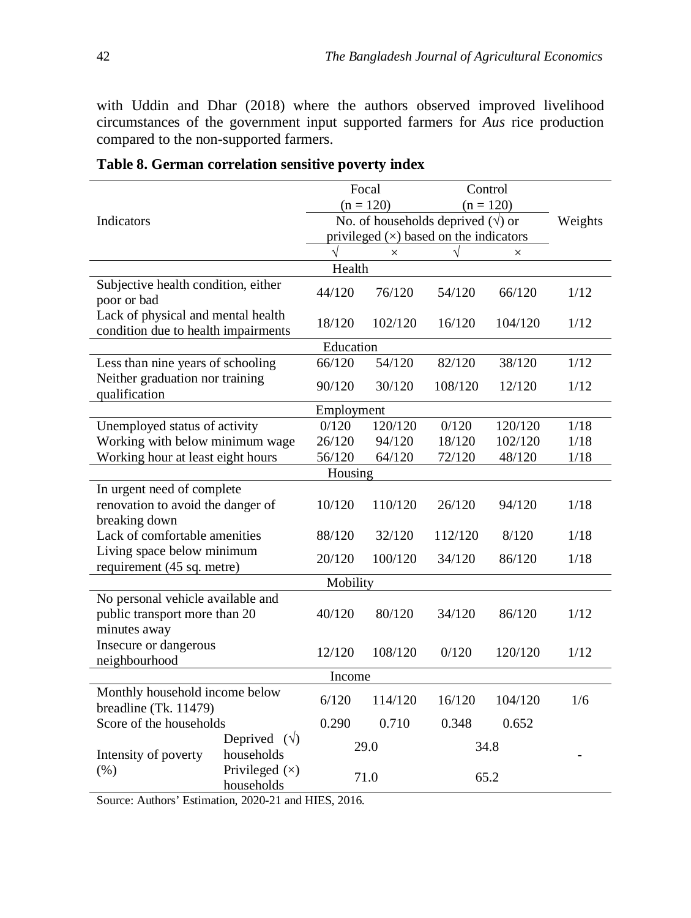with Uddin and Dhar (2018) where the authors observed improved livelihood circumstances of the government input supported farmers for *Aus* rice production compared to the non-supported farmers.

|                                                                           |                                    |            | Focal       |                                           | Control     |         |
|---------------------------------------------------------------------------|------------------------------------|------------|-------------|-------------------------------------------|-------------|---------|
|                                                                           |                                    |            | $(n = 120)$ |                                           | $(n = 120)$ |         |
| Indicators                                                                |                                    |            |             | No. of households deprived $(\sqrt{})$ or |             | Weights |
|                                                                           |                                    |            |             | privileged $(x)$ based on the indicators  |             |         |
|                                                                           |                                    |            | $\times$    |                                           | ×           |         |
|                                                                           |                                    | Health     |             |                                           |             |         |
| Subjective health condition, either<br>poor or bad                        |                                    | 44/120     | 76/120      | 54/120                                    | 66/120      | 1/12    |
| Lack of physical and mental health<br>condition due to health impairments |                                    | 18/120     | 102/120     | 16/120                                    | 104/120     | 1/12    |
|                                                                           |                                    | Education  |             |                                           |             |         |
| Less than nine years of schooling                                         |                                    | 66/120     | 54/120      | 82/120                                    | 38/120      | 1/12    |
| Neither graduation nor training<br>qualification                          |                                    | 90/120     | 30/120      | 108/120                                   | 12/120      | 1/12    |
|                                                                           |                                    | Employment |             |                                           |             |         |
| Unemployed status of activity                                             |                                    | 0/120      | 120/120     | 0/120                                     | 120/120     | $1/18$  |
| Working with below minimum wage                                           |                                    | 26/120     | 94/120      | 18/120                                    | 102/120     | 1/18    |
| Working hour at least eight hours                                         |                                    | 56/120     | 64/120      | 72/120                                    | 48/120      | 1/18    |
|                                                                           |                                    | Housing    |             |                                           |             |         |
| In urgent need of complete                                                |                                    |            |             |                                           |             |         |
| renovation to avoid the danger of                                         |                                    | 10/120     | 110/120     | 26/120                                    | 94/120      | 1/18    |
| breaking down                                                             |                                    |            |             |                                           |             |         |
| Lack of comfortable amenities                                             |                                    | 88/120     | 32/120      | 112/120                                   | 8/120       | 1/18    |
| Living space below minimum                                                |                                    | 20/120     | 100/120     | 34/120                                    | 86/120      | 1/18    |
| requirement (45 sq. metre)                                                |                                    |            |             |                                           |             |         |
|                                                                           |                                    | Mobility   |             |                                           |             |         |
| No personal vehicle available and                                         |                                    |            |             |                                           |             |         |
| public transport more than 20                                             |                                    | 40/120     | 80/120      | 34/120                                    | 86/120      | 1/12    |
| minutes away                                                              |                                    |            |             |                                           |             |         |
| Insecure or dangerous                                                     |                                    | 12/120     | 108/120     | 0/120                                     | 120/120     | 1/12    |
| neighbourhood                                                             |                                    |            |             |                                           |             |         |
|                                                                           |                                    | Income     |             |                                           |             |         |
| Monthly household income below<br>breadline (Tk. 11479)                   |                                    | 6/120      | 114/120     | 16/120                                    | 104/120     | 1/6     |
| Score of the households                                                   |                                    | 0.290      | 0.710       | 0.348                                     | 0.652       |         |
| Intensity of poverty                                                      | Deprived $(\forall)$<br>households |            | 29.0        |                                           | 34.8        |         |
| (% )                                                                      | Privileged $(x)$<br>households     |            | 71.0        |                                           | 65.2        |         |

| Table 8. German correlation sensitive poverty index |
|-----------------------------------------------------|
|-----------------------------------------------------|

Source: Authors' Estimation, 2020-21 and HIES, 2016.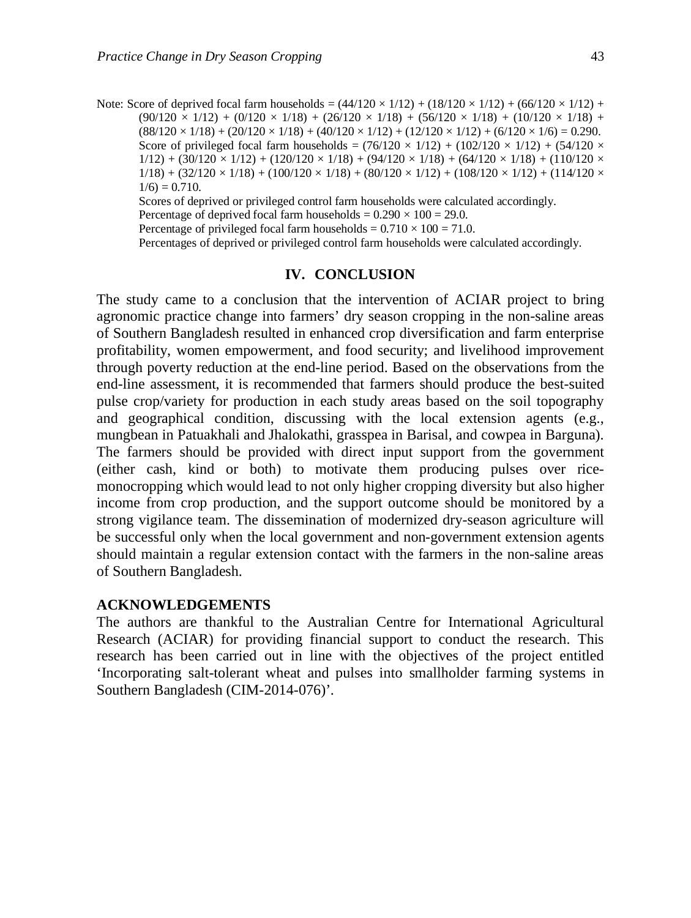Note: Score of deprived focal farm households =  $(44/120 \times 1/12) + (18/120 \times 1/12) + (66/120 \times 1/12) +$  $(90/120 \times 1/12) + (0/120 \times 1/18) + (26/120 \times 1/18) + (56/120 \times 1/18) + (10/120 \times 1/18) +$  $(88/120 \times 1/18) + (20/120 \times 1/18) + (40/120 \times 1/12) + (12/120 \times 1/12) + (6/120 \times 1/6) = 0.290$ . Score of privileged focal farm households =  $(76/120 \times 1/12)$  +  $(102/120 \times 1/12)$  +  $(54/120 \times$  $1/12$ ) + (30/120 × 1/12) + (120/120 × 1/18) + (94/120 × 1/18) + (64/120 × 1/18) + (110/120 ×  $1/18$  +  $(32/120 \times 1/18)$  +  $(100/120 \times 1/18)$  +  $(80/120 \times 1/12)$  +  $(108/120 \times 1/12)$  +  $(114/120 \times$  $1/6$ ) = 0.710.

Scores of deprived or privileged control farm households were calculated accordingly.

Percentage of deprived focal farm households =  $0.290 \times 100 = 29.0$ .

Percentage of privileged focal farm households =  $0.710 \times 100 = 71.0$ .

Percentages of deprived or privileged control farm households were calculated accordingly.

### **IV. CONCLUSION**

The study came to a conclusion that the intervention of ACIAR project to bring agronomic practice change into farmers' dry season cropping in the non-saline areas of Southern Bangladesh resulted in enhanced crop diversification and farm enterprise profitability, women empowerment, and food security; and livelihood improvement through poverty reduction at the end-line period. Based on the observations from the end-line assessment, it is recommended that farmers should produce the best-suited pulse crop/variety for production in each study areas based on the soil topography and geographical condition, discussing with the local extension agents (e.g., mungbean in Patuakhali and Jhalokathi, grasspea in Barisal, and cowpea in Barguna). The farmers should be provided with direct input support from the government (either cash, kind or both) to motivate them producing pulses over ricemonocropping which would lead to not only higher cropping diversity but also higher income from crop production, and the support outcome should be monitored by a strong vigilance team. The dissemination of modernized dry-season agriculture will be successful only when the local government and non-government extension agents should maintain a regular extension contact with the farmers in the non-saline areas of Southern Bangladesh.

#### **ACKNOWLEDGEMENTS**

The authors are thankful to the Australian Centre for International Agricultural Research (ACIAR) for providing financial support to conduct the research. This research has been carried out in line with the objectives of the project entitled 'Incorporating salt-tolerant wheat and pulses into smallholder farming systems in Southern Bangladesh (CIM-2014-076)'.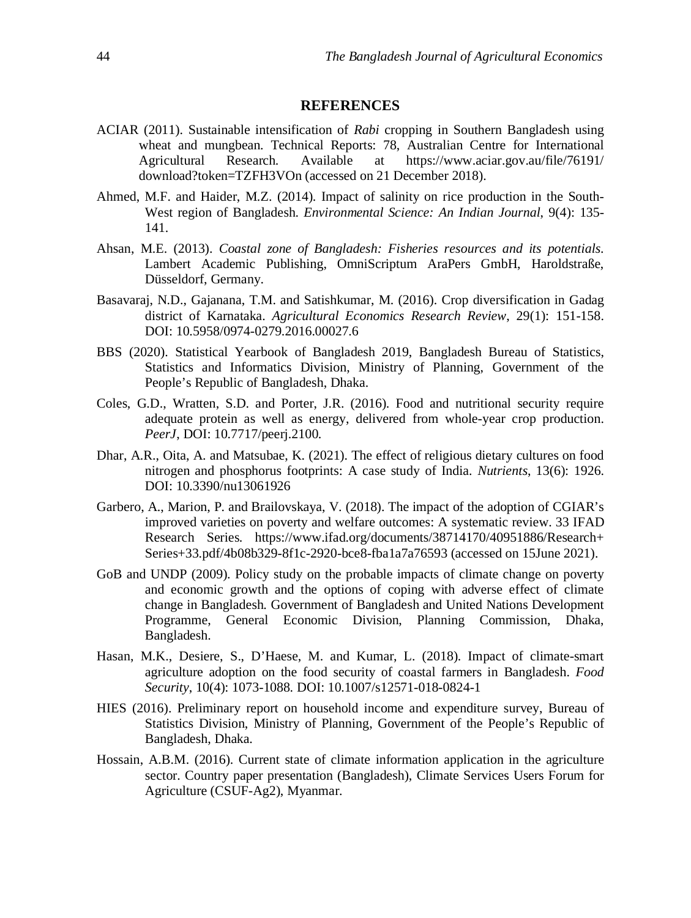## **REFERENCES**

- ACIAR (2011). Sustainable intensification of *Rabi* cropping in Southern Bangladesh using wheat and mungbean. Technical Reports: 78, Australian Centre for International Agricultural Research. Available at https://www.aciar.gov.au/file/76191/ download?token=TZFH3VOn (accessed on 21 December 2018).
- Ahmed, M.F. and Haider, M.Z. (2014). Impact of salinity on rice production in the South-West region of Bangladesh. *Environmental Science: An Indian Journal*, 9(4): 135- 141.
- Ahsan, M.E. (2013). *Coastal zone of Bangladesh: Fisheries resources and its potentials*. Lambert Academic Publishing, OmniScriptum AraPers GmbH, Haroldstraße, Düsseldorf, Germany.
- Basavaraj, N.D., Gajanana, T.M. and Satishkumar, M. (2016). Crop diversification in Gadag district of Karnataka. *Agricultural Economics Research Review*, 29(1): 151-158. DOI: 10.5958/0974-0279.2016.00027.6
- BBS (2020). Statistical Yearbook of Bangladesh 2019, Bangladesh Bureau of Statistics, Statistics and Informatics Division, Ministry of Planning, Government of the People's Republic of Bangladesh, Dhaka.
- Coles, G.D., Wratten, S.D. and Porter, J.R. (2016). Food and nutritional security require adequate protein as well as energy, delivered from whole-year crop production. *PeerJ*, DOI: 10.7717/peerj.2100.
- Dhar, A.R., Oita, A. and Matsubae, K. (2021). The effect of religious dietary cultures on food nitrogen and phosphorus footprints: A case study of India. *Nutrients*, 13(6): 1926. DOI: 10.3390/nu13061926
- Garbero, A., Marion, P. and Brailovskaya, V. (2018). The impact of the adoption of CGIAR's improved varieties on poverty and welfare outcomes: A systematic review. 33 IFAD Research Series. https://www.ifad.org/documents/38714170/40951886/Research+ Series+33.pdf/4b08b329-8f1c-2920-bce8-fba1a7a76593 (accessed on 15June 2021).
- GoB and UNDP (2009). Policy study on the probable impacts of climate change on poverty and economic growth and the options of coping with adverse effect of climate change in Bangladesh. Government of Bangladesh and United Nations Development Programme, General Economic Division, Planning Commission, Dhaka, Bangladesh.
- Hasan, M.K., Desiere, S., D'Haese, M. and Kumar, L. (2018). Impact of climate-smart agriculture adoption on the food security of coastal farmers in Bangladesh. *Food Security*, 10(4): 1073-1088. DOI: 10.1007/s12571-018-0824-1
- HIES (2016). Preliminary report on household income and expenditure survey, Bureau of Statistics Division, Ministry of Planning, Government of the People's Republic of Bangladesh, Dhaka.
- Hossain, A.B.M. (2016). Current state of climate information application in the agriculture sector. Country paper presentation (Bangladesh), Climate Services Users Forum for Agriculture (CSUF-Ag2), Myanmar.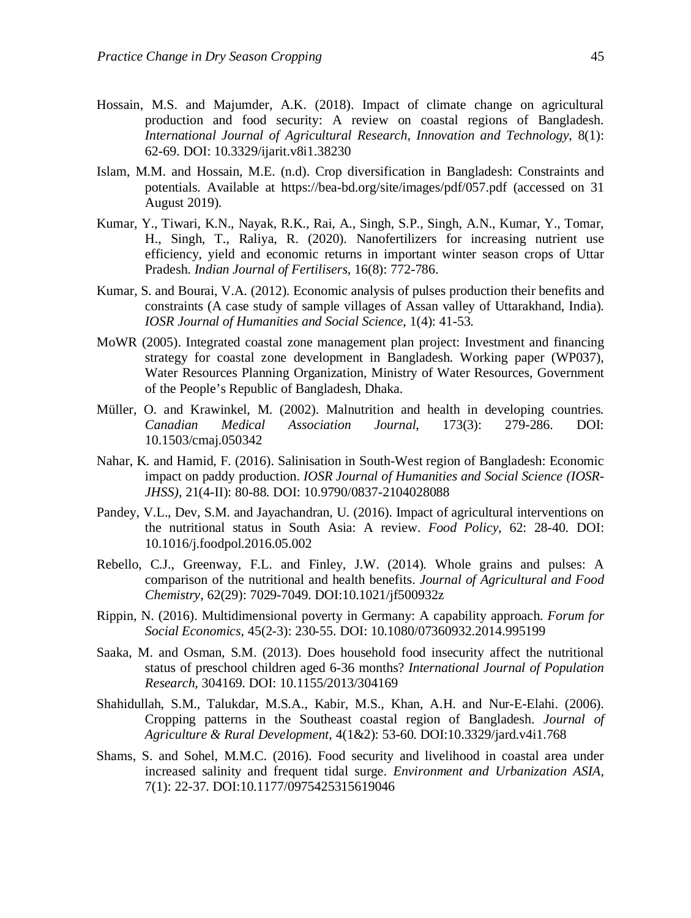- Hossain, M.S. and Majumder, A.K. (2018). Impact of climate change on agricultural production and food security: A review on coastal regions of Bangladesh. *International Journal of Agricultural Research, Innovation and Technology*, 8(1): 62-69. DOI: 10.3329/ijarit.v8i1.38230
- Islam, M.M. and Hossain, M.E. (n.d). Crop diversification in Bangladesh: Constraints and potentials. Available at https://bea-bd.org/site/images/pdf/057.pdf (accessed on 31 August 2019).
- Kumar, Y., Tiwari, K.N., Nayak, R.K., Rai, A., Singh, S.P., Singh, A.N., Kumar, Y., Tomar, H., Singh, T., Raliya, R. (2020). Nanofertilizers for increasing nutrient use efficiency, yield and economic returns in important winter season crops of Uttar Pradesh. *Indian Journal of Fertilisers*, 16(8): 772-786.
- Kumar, S. and Bourai, V.A. (2012). Economic analysis of pulses production their benefits and constraints (A case study of sample villages of Assan valley of Uttarakhand, India). *IOSR Journal of Humanities and Social Science*, 1(4): 41-53.
- MoWR (2005). Integrated coastal zone management plan project: Investment and financing strategy for coastal zone development in Bangladesh. Working paper (WP037), Water Resources Planning Organization, Ministry of Water Resources, Government of the People's Republic of Bangladesh, Dhaka.
- Müller, O. and Krawinkel, M. (2002). Malnutrition and health in developing countries. *Canadian Medical Association Journal*, 173(3): 279-286. DOI: 10.1503/cmaj.050342
- Nahar, K. and Hamid, F. (2016). Salinisation in South-West region of Bangladesh: Economic impact on paddy production. *IOSR Journal of Humanities and Social Science (IOSR-JHSS)*, 21(4-II): 80-88. DOI: 10.9790/0837-2104028088
- Pandey, V.L., Dev, S.M. and Jayachandran, U. (2016). Impact of agricultural interventions on the nutritional status in South Asia: A review. *Food Policy*, 62: 28-40. DOI: 10.1016/j.foodpol.2016.05.002
- Rebello, C.J., Greenway, F.L. and Finley, J.W. (2014). Whole grains and pulses: A comparison of the nutritional and health benefits. *Journal of Agricultural and Food Chemistry*, 62(29): 7029-7049. DOI:10.1021/jf500932z
- Rippin, N. (2016). Multidimensional poverty in Germany: A capability approach. *Forum for Social Economics*, 45(2-3): 230-55. DOI: 10.1080/07360932.2014.995199
- Saaka, M. and Osman, S.M. (2013). Does household food insecurity affect the nutritional status of preschool children aged 6-36 months? *International Journal of Population Research*, 304169. DOI: 10.1155/2013/304169
- Shahidullah, S.M., Talukdar, M.S.A., Kabir, M.S., Khan, A.H. and Nur-E-Elahi. (2006). Cropping patterns in the Southeast coastal region of Bangladesh. *Journal of Agriculture & Rural Development*, 4(1&2): 53-60. DOI:10.3329/jard.v4i1.768
- Shams, S. and Sohel, M.M.C. (2016). Food security and livelihood in coastal area under increased salinity and frequent tidal surge. *Environment and Urbanization ASIA*, 7(1): 22-37. DOI:10.1177/0975425315619046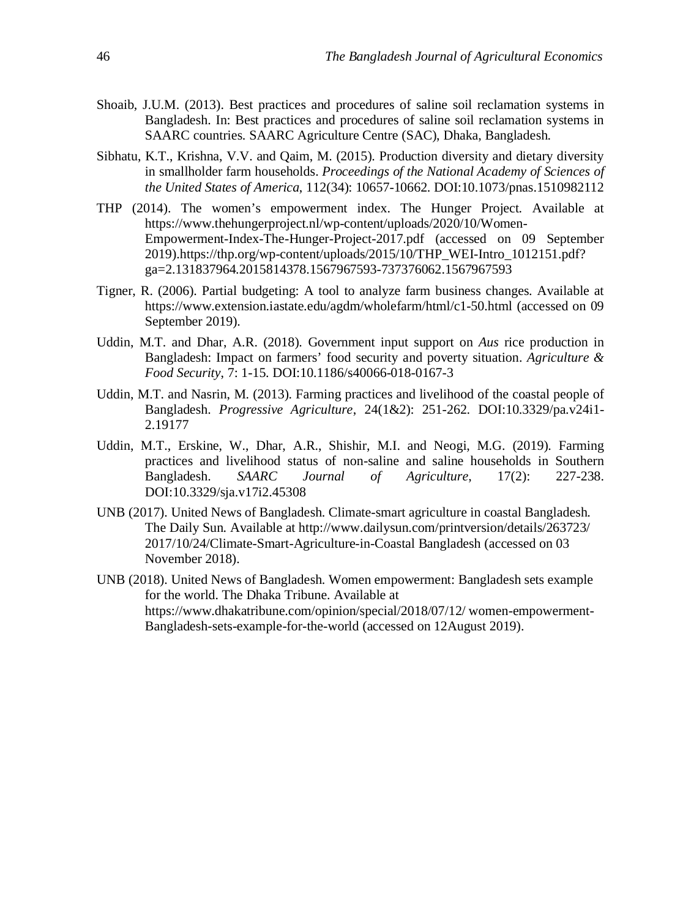- Shoaib, J.U.M. (2013). Best practices and procedures of saline soil reclamation systems in Bangladesh. In: Best practices and procedures of saline soil reclamation systems in SAARC countries. SAARC Agriculture Centre (SAC), Dhaka, Bangladesh.
- Sibhatu, K.T., Krishna, V.V. and Qaim, M. (2015). Production diversity and dietary diversity in smallholder farm households. *Proceedings of the National Academy of Sciences of the United States of America*, 112(34): 10657-10662. DOI:10.1073/pnas.1510982112
- THP (2014). The women's empowerment index. The Hunger Project. Available at https://www.thehungerproject.nl/wp-content/uploads/2020/10/Women-Empowerment-Index-The-Hunger-Project-2017.pdf (accessed on 09 September 2019).https://thp.org/wp-content/uploads/2015/10/THP\_WEI-Intro\_1012151.pdf? ga=2.131837964.2015814378.1567967593-737376062.1567967593
- Tigner, R. (2006). Partial budgeting: A tool to analyze farm business changes. Available at https://www.extension.iastate.edu/agdm/wholefarm/html/c1-50.html (accessed on 09 September 2019).
- Uddin, M.T. and Dhar, A.R. (2018). Government input support on *Aus* rice production in Bangladesh: Impact on farmers' food security and poverty situation. *Agriculture & Food Security*, 7: 1-15. DOI:10.1186/s40066-018-0167-3
- Uddin, M.T. and Nasrin, M. (2013). Farming practices and livelihood of the coastal people of Bangladesh. *Progressive Agriculture*, 24(1&2): 251-262. DOI:10.3329/pa.v24i1- 2.19177
- Uddin, M.T., Erskine, W., Dhar, A.R., Shishir, M.I. and Neogi, M.G. (2019). Farming practices and livelihood status of non-saline and saline households in Southern Bangladesh. *SAARC Journal of Agriculture*, 17(2): 227-238. DOI:10.3329/sja.v17i2.45308
- UNB (2017). United News of Bangladesh. Climate-smart agriculture in coastal Bangladesh. The Daily Sun. Available at http://www.dailysun.com/printversion/details/263723/ 2017/10/24/Climate-Smart-Agriculture-in-Coastal Bangladesh (accessed on 03 November 2018).
- UNB (2018). United News of Bangladesh. Women empowerment: Bangladesh sets example for the world. The Dhaka Tribune. Available at https://www.dhakatribune.com/opinion/special/2018/07/12/ women-empowerment-Bangladesh-sets-example-for-the-world (accessed on 12August 2019).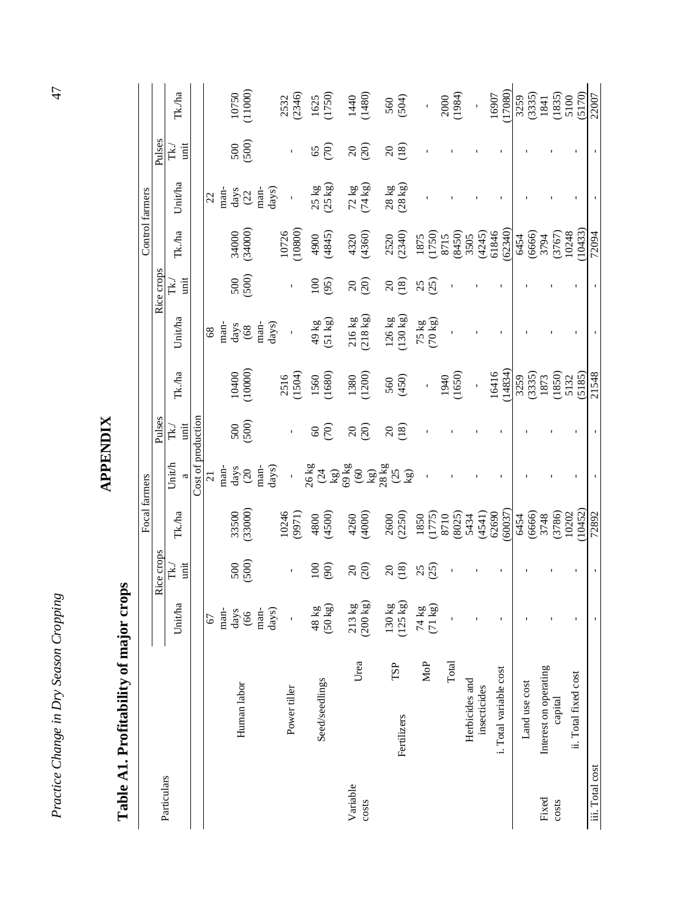|                   | Table A1. Profitability          | of major crops                            |                        | Focal farmers                                                                               |                                                                                                                                                                                                                                                                                                                                                                                                                                                                              |                   |                                                                          |                                      |                 |                                                      | Control farmers                                                 |                     |                                                                                                |
|-------------------|----------------------------------|-------------------------------------------|------------------------|---------------------------------------------------------------------------------------------|------------------------------------------------------------------------------------------------------------------------------------------------------------------------------------------------------------------------------------------------------------------------------------------------------------------------------------------------------------------------------------------------------------------------------------------------------------------------------|-------------------|--------------------------------------------------------------------------|--------------------------------------|-----------------|------------------------------------------------------|-----------------------------------------------------------------|---------------------|------------------------------------------------------------------------------------------------|
| Particulars       |                                  |                                           | Rice crops             |                                                                                             |                                                                                                                                                                                                                                                                                                                                                                                                                                                                              | Pulses            |                                                                          |                                      | Rice crops      |                                                      |                                                                 | Pulses              |                                                                                                |
|                   |                                  | Unit/ha                                   | unit<br>ť.             | Tk./ha                                                                                      | Unith                                                                                                                                                                                                                                                                                                                                                                                                                                                                        | junit<br>Tk.)     | Tk./ha                                                                   | Unitha                               | unit<br>È       | Tk./ha                                               | Unit/ha                                                         | unit<br>Ĕ           | Tk./ha                                                                                         |
|                   |                                  |                                           |                        |                                                                                             | Cost of production                                                                                                                                                                                                                                                                                                                                                                                                                                                           |                   |                                                                          |                                      |                 |                                                      |                                                                 |                     |                                                                                                |
|                   |                                  | 67                                        |                        |                                                                                             | $\overline{c}$                                                                                                                                                                                                                                                                                                                                                                                                                                                               |                   |                                                                          | $68\,$                               |                 |                                                      | 22                                                              |                     |                                                                                                |
|                   | Human labor                      | days<br>man-<br>66                        | $500$<br>$(500)$       | 33500<br>(33000)                                                                            | days<br>man-<br>$\frac{20}{2}$                                                                                                                                                                                                                                                                                                                                                                                                                                               | 500               | $10400$<br>(10000)                                                       | days<br>man-<br>$(68)$               | 500<br>(500)    | 34000<br>(34000)                                     | days<br>man-<br>(22)                                            | (500)<br>500        | 10750<br>(11000)                                                                               |
|                   |                                  | days)<br>man-                             |                        |                                                                                             | days)                                                                                                                                                                                                                                                                                                                                                                                                                                                                        |                   |                                                                          | days)<br>man-                        |                 |                                                      | $_{\rm days)}$<br>man-                                          |                     |                                                                                                |
|                   | Power tiller                     | $\mathbf{I}$                              | $\mathbf{I}$           | 10246<br>9971)                                                                              | Î,                                                                                                                                                                                                                                                                                                                                                                                                                                                                           | $\mathbf i$       | 2516<br>(1504)                                                           | $\mathbf{i}$                         | $\mathbf i$     | 10726<br>(10800)                                     | $\blacksquare$                                                  | $\mathbf{I}$        | 2532<br>(2346)                                                                                 |
|                   | Seed/seedlings                   | $48 \text{ kg}$<br>(50 kg)                | (90)<br>100            | (4500)<br>4800                                                                              |                                                                                                                                                                                                                                                                                                                                                                                                                                                                              | (70)<br>$\otimes$ | 1560<br>(1680)                                                           | $49 \text{ kg}$<br>(51 kg)           | 100<br>(95)     | 4845)<br>(4845)                                      | $\frac{25 \text{ kg}}{(25 \text{ kg})}$                         | $\widehat{c}$<br>65 | 1625<br>(1750)                                                                                 |
| Variable<br>costs | Irea                             | $\frac{213 \text{ kg}}{(200 \text{ kg})}$ | (20)<br>$\overline{c}$ | 4260<br>(4000)                                                                              | $\begin{array}{l} 26 \, \text{kg} \\ (24 \\ \text{kg}) \\ (60 \\ \text{kg}) \\ (90 \\ \text{kg}) \\ (23 \\ \text{kg}) \\ (25 \\ \text{kg}) \\ (24 \\ \text{kg}) \\ (25 \\ \text{kg}) \\ (27 \\ \text{kg}) \\ (29 \\ \text{kg}) \\ (21 \\ \text{kg}) \\ (22 \\ \text{kg}) \\ (23 \\ \text{kg}) \\ (24 \\ \text{kg}) \\ (25 \\ \text{kg}) \\ (27 \\ \text{kg}) \\ (29 \\ \text{kg}) \\ (21 \\ \text{kg}) \\ (22 \\ \text{kg}) \\ (23 \\ \text{kg}) \\ (24 \\ \text{kg}) \\ (2$ | $\frac{20}{20}$   | 1380<br>(1200)                                                           | $216 kg$<br>(218 kg)                 | $\frac{20}{20}$ | 4320<br>(4360)                                       | 72 kg<br>(74 kg)                                                | $\frac{20}{20}$     | $(140)$<br>$(1480)$                                                                            |
|                   | £,<br>Fertilizers                | $130 \text{ kg}$<br>(125 kg)              | (18)<br>$\Omega$       | 2600<br>(2250)                                                                              |                                                                                                                                                                                                                                                                                                                                                                                                                                                                              | (18)<br>$\Omega$  | (450)<br>560                                                             | $126 kg$<br>(130 kg)                 | $^{20}_{(18)}$  | 2520<br>(2340)                                       | $\begin{array}{c} 28 \text{ kg} \\ (28 \text{ kg}) \end{array}$ | (18)<br>$\Omega$    | 560<br>(504)                                                                                   |
|                   | MoP                              | $\frac{1}{24}$ kg                         | 25                     | $\begin{array}{c} 1850 \\ (1775) \\ 8710 \\ (8025) \\ 5434 \\ (4541) \\ (2609) \end{array}$ |                                                                                                                                                                                                                                                                                                                                                                                                                                                                              |                   | í,                                                                       | $75 \text{ kg}$<br>$(70 \text{ kg})$ | 25              | 1875<br>(1750)<br>(8450)<br>(8450)<br>3505<br>(4245) |                                                                 |                     |                                                                                                |
|                   | Total                            |                                           |                        |                                                                                             |                                                                                                                                                                                                                                                                                                                                                                                                                                                                              |                   | (1650)<br>1940                                                           |                                      |                 |                                                      |                                                                 |                     | $2000$<br>(1984)                                                                               |
|                   | Herbicides and<br>insecticides   |                                           |                        |                                                                                             |                                                                                                                                                                                                                                                                                                                                                                                                                                                                              |                   | $\overline{1}$                                                           |                                      |                 |                                                      |                                                                 |                     |                                                                                                |
|                   | i. Total variable cost           |                                           |                        | (60037)                                                                                     |                                                                                                                                                                                                                                                                                                                                                                                                                                                                              |                   | 16416<br>(14834)                                                         |                                      |                 | (62340)<br>61846                                     |                                                                 |                     | 17080)<br>16907                                                                                |
|                   | Land use cost                    |                                           |                        | 6454                                                                                        |                                                                                                                                                                                                                                                                                                                                                                                                                                                                              |                   |                                                                          |                                      |                 | (6666)<br>6454                                       |                                                                 |                     | 3259                                                                                           |
| Fixed<br>costs    | Interest on operating<br>capital |                                           |                        | $(6666)$<br>3748<br>3748<br>37860<br>10452)<br>10452)                                       |                                                                                                                                                                                                                                                                                                                                                                                                                                                                              |                   | $\begin{array}{c} 3259 \\ (335) \\ 1873 \\ (1850) \\ (1850) \end{array}$ |                                      |                 | 3794                                                 |                                                                 |                     | $\begin{array}{c} (3335) \\ 1841 \\ (1835) \\ 5100 \\ \underline{(5170)} \\ 22007 \end{array}$ |
|                   | ii. Total fixed cost             |                                           |                        |                                                                                             |                                                                                                                                                                                                                                                                                                                                                                                                                                                                              |                   | (5185)<br>5132                                                           |                                      |                 | $(3767)$<br>$10248$<br>$(10433)$                     |                                                                 |                     |                                                                                                |
| iii. Total cost   |                                  |                                           |                        |                                                                                             |                                                                                                                                                                                                                                                                                                                                                                                                                                                                              |                   | 21548                                                                    |                                      |                 | 72094                                                |                                                                 |                     |                                                                                                |

**APPENDIX APPENDIX** 

Practice Change in Dry Season Cropping